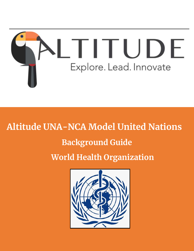

# **Altitude UNA-NCA Model United Nations**

# **Background Guide**

**World Health Organization**

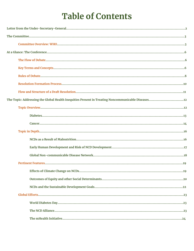# **Table of Contents**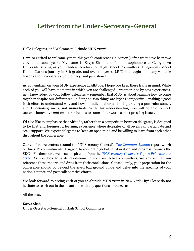### **Letter from the Under-Secretary-General**

Hello Delegates, and Welcome to Altitude MUN 2022!

I am so excited to welcome you to this year's conference (in person!) after what have been two very tumultuous years. My name is Kavya Shah, and I am a sophomore at Georgetown University serving as your Under-Secretary for High School Committees. I began my Model United Nations journey in 8th grade, and over the years, MUN has taught me many valuable lessons about cooperation, diplomacy, and persistence.

As you embark on your MUN experience at Altitude, I hope you keep these traits in mind. While each of you will have moments in which you are challenged – whether it be by new experiences, new knowledge, or your fellow delegates – remember that MUN is about learning how to come together despite our differences. In doing so, two things are key: 1) *perspective* – making a good faith effort to understand why and how an individual or nation is pursuing a particular stance, and 2) *debating ideas, not individuals.* With this understanding, you will be able to work towards innovative *and* realistic solutions to some of our world's most pressing issues.

I'd also like to emphasize that Altitude, rather than a competition between delegates, is designed to be first and foremost a learning experience where delegates of all levels can participate and seek support. We expect delegates to keep an open mind and be willing to learn from each other throughout the conference.

Our conference centers around the UN Secretary General's *[Our Common Agenda](https://www.un.org/en/content/common-agenda-report/assets/pdf/Common_Agenda_Report_English.pdf)* report which outlines 12 commitments designed to accelerate global collaboration and progress towards the SDGs. Furthermore, we draw inspiration from the *[UN Secretary-General's Top 10 Priorities for](https://sdg.iisd.org/news/un-secretary-general-presents-10-priorities-for-2021/) [2021.](https://sdg.iisd.org/news/un-secretary-general-presents-10-priorities-for-2021/)* As you look towards resolutions in your respective committees, we advise that you reference these reports and draw from their conclusions. Consequently, your preparation for the conference should go beyond the given background guide and delve into the specifics of your nation's stance and past collaborative efforts.

We look forward to seeing each of you at Altitude MUN 2022 in New York City! Please do not hesitate to reach out in the meantime with any questions or concerns.

All the best,

Kavya Shah Under-Secretary-General of High School Committees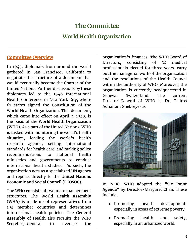### **The Committee**

### **World Health Organization**

### **Committee Overview**

In 1945, diplomats from around the world gathered in San Francisco, California to negotiate the structure of a document that would eventually become the Charter of the United Nations. Further discussions by these diplomats led to the 1946 International Health Conference in New York City, where 61 states signed the Constitution of the World Health Organization. This document, which came into effect on April 7, 1948, is the basis of the **World Health Organization (WHO)**. As a part of the United Nations, WHO is tasked with monitoring the world's health situation, leading the world's health research agenda, setting international standards for health care, and making policy recommendations to national health ministries and governments to conduct international health studies. As such, the organization acts as a specialized UN agency and reports directly to the **United Nations Economic and Social Council (ECOSOC)**.

The WHO consists of two main management structures. The **World Health Assembly** (**WHA**) is made up of representatives from 194 member countries and determines international health policies. The **General Assembly of Health** also recruits the WHO Secretary-General to oversee the

organization's finances. The WHO Board of Directors, consisting of 34 medical professionals elected for three years, carry out the managerial work of the organization and the resolutions of the Health Council within the authority of WHO. Moreover, the organization is currently headquartered in Geneva, Switzerland. The current Director-General of WHO is Dr. Tedros Adhanom Ghebreyesus



In 2008, WHO adopted the "**Six Point Agenda**" by Director-Margaret Chan. These include:

- Promoting health development, especially in areas of extreme poverty.
- Promoting health and safety, especially in an urbanized world.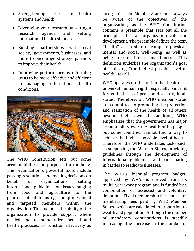- Strengthening access to health systems and health.
- Leveraging your research by setting a research agenda and setting international health standards.
- Building partnerships with civil society, governments, businesses, and more to encourage strategic partners to improve their health.
- Improving performance by reforming WHO to be more effective and efficient in managing international health conditions.



The WHO Constitution sets out some accountabilities and purposes for the body. The organization's powerful tools include passing resolutions and making decisions on behalf of organizations, setting international guidelines on issues ranging from food and agriculture to the pharmaceutical industry, and professional and targeted members within the organization. This includes the ability of the organization to provide support where needed and to standardize medical and health practices. To function effectively as

an organization, Member States must always be aware of the objectives of the organization, as the WHO Constitution contains a preamble that sets out all the principles that an organization calls for development. The preamble defines the term "health" as "a state of complete physical, mental and social well-being, as well as being free of illness and illness." This definition underlies the organization's goal of achieving "the highest possible level of health" for all.

WHO operates on the notion that health is a universal human right, especially since it forms the basis of peace and security in all states. Therefore, all WHO member states are committed to promoting the protection and realization of the health of all others beyond their own. In addition, WHO emphasizes that the government has major accountability over the health of its people, but some countries cannot find a way to achieve the highest possible level of health. Therefore, the WHO undertakes tasks such as supporting the Member States, providing guidelines through the development of international guidelines, and participating in battles to eradicate illnesses.

The WHO's biennial program budget, approved by WHA, is derived from its multi-year work program and is funded by a combination of assessed and voluntary donations. Fixed membership fees consist of membership fees paid by WHO Member States, which are calculated in proportion to wealth and population. Although the number of mandatory contributions is steadily increasing, the increase in the number of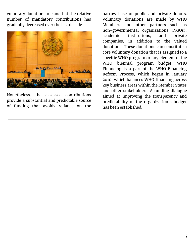voluntary donations means that the relative number of mandatory contributions has gradually decreased over the last decade.



Nonetheless, the assessed contributions provide a substantial and predictable source of funding that avoids reliance on the narrow base of public and private donors. Voluntary donations are made by WHO Members and other partners such as non-governmental organizations (NGOs), academic institutions, and private companies, in addition to the valued donations. These donations can constitute a core voluntary donation that is assigned to a specific WHO program or any element of the WHO biennial program budget. WHO Financing is a part of the WHO Financing Reform Process, which began in January 2010, which balances WHO financing across key business areas within the Member States and other stakeholders. A funding dialogue aimed at improving the transparency and predictability of the organization's budget has been established.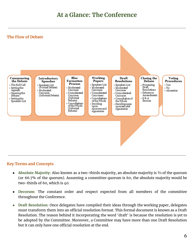## **At a Glance: The Conference**

#### **The Flow of Debate**



#### **Key Terms and Concepts**

- Absolute Majority: Also known as a two-thirds majority, an absolute majority is <sup>2</sup>/<sub>3</sub> of the quorum (or 66.7% of the quorum). Assuming a committee quorum is 60, the absolute majority would be two-thirds of 60, which is 40.
- **Decorum:** The constant order and respect expected from all members of the committee throughout the Conference.
- **● Draft Resolution:** Once delegates have compiled their ideas through the working paper, delegates must transform them into an official resolution format. This formal document is known as a Draft Resolution. The reason behind it incorporating the word 'draft' is because the resolution is yet to be adopted by the Committee. Moreover, a Committee may have more than one Draft Resolution but it can only have one official resolution at the end.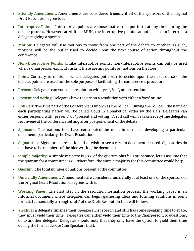- **● Friendly Amendment:** Amendments are considered **friendly** if all of the sponsors of the original Draft Resolution agree to it.
- **Interruptive Points:** Interruptive points are those that can be put forth at any time during the debate process. However, at Altitude MUN, the interruptive points cannot be used to interrupt a delegate giving a speech.
- **● Motion:** Delegates will use motions to move from one part of the debate to another. As such, motions will be the outlet used to decide upon the next course of action throughout the conference.
- **Non-Interruptive Points:** Unlike interruptive points, non-interruptive points can only be used when a Chairperson explicitly asks if there are any points or motions on the floor.
- **● Point:** Contrary to motions, which delegates put forth to decide upon the next course of the debate, points are used for the sole purpose of facilitating the conference's procedure.
- **Present:** Delegates can vote on a resolution with 'yes', 'no', or 'abstention'.
- Present and Voting: Delegates have to vote on a resolution with either a 'yes' or 'no'.
- **● Roll Call:** The first part of the Conference is known as the roll call. During the roll call, the name of each participating nation will be called aloud in alphabetical order by the Dais. Delegates can either respond with 'present' or 'present and voting'. A roll call will be taken everytime delegates reconvene at the conference setting after postponement of the debate.
- **● Sponsors:** The nations that have contributed the most in terms of developing a particular document, particularly the Draft Resolution.
- **● Signatories:** Signatories are nations that wish to see a certain document debated. Signatories do not have to be members of the bloc writing the document.
- **● Simple Majority:** A simple majority is 50% of the quorum plus '1'. For instance, let us assume that the quorum for a committee is 60. Therefore, the simple majority for this committee would be 31.
- **Quorum:** The total number of nations present at the committee.
- **● Unfriendly Amendment:** Amendments are considered **unfriendly** if at least one of the sponsors of the original Draft Resolution disagrees with it.
- **● Working Paper:** The first step in the resolution formation process, the working paper is an **informal document** where delegates can begin gathering ideas and forming solutions in point format. It essentially a 'rough draft' of the Draft Resolution that will follow.
- **Yields:** If a delegate finishes their Speakers List speech and still has some speaking time to spare, they must yield their time. Delegates can either yield their time to the Chairperson, to questions, or to another delegate. Delegates should note that they only have the option to yield their time during the formal debate (the Speakers List).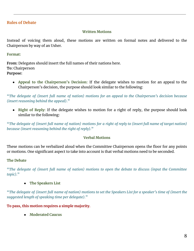#### **Rules of Debate**

#### **Written Motions**

Instead of voicing them aloud, these motions are written on formal notes and delivered to the Chairperson by way of an Usher.

#### **Format:**

**From:** Delegates should insert the full names of their nations here. **To:** Chairperson **Purpose:**

● **Appeal to the Chairperson's Decision:** If the delegate wishes to motion for an appeal to the Chairperson's decision, the purpose should look similar to the following:

**"***The delegate of (insert full name of nation) motions for an appeal to the Chairperson's decision because (insert reasoning behind the appeal)***."**

● **Right of Reply:** If the delegate wishes to motion for a right of reply, the purpose should look similar to the following:

**"***The delegate of (insert full name of nation) motions for a right of reply to (insert full name of target nation) because (insert reasoning behind the right of reply).***"**

#### **Verbal Motions**

These motions can be verbalized aloud when the Committee Chairperson opens the floor for any points or motions. One significant aspect to take into account is that verbal motions need to be seconded.

#### **The Debate**

**"***The delegate of (insert full name of nation) motions to open the debate to discuss (input the Committee topic).***"**

**● The Speakers List**

**"***The delegate of (insert full name of nation) motions to set the Speakers List for a speaker's time of (insert the suggested length of speaking time per delegate).***"**

**To pass, this motion requires a simple majority.**

**● Moderated Caucus**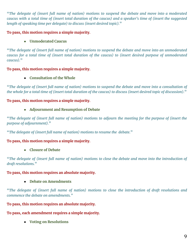**"***The delegate of (insert full name of nation) motions to suspend the debate and move into a moderated caucus with a total time of (insert total duration of the caucus) and a speaker's time of (insert the suggested length of speaking time per delegate) to discuss (insert desired topic).***"**

#### **To pass, this motion requires a simple majority.**

#### **● Unmoderated Caucus**

**"***The delegate of (insert full name of nation) motions to suspend the debate and move into an unmoderated caucus for a total time of (insert total duration of the caucus) to (insert desired purpose of unmoderated caucus).***"**

#### **To pass, this motion requires a simple majority.**

**● Consultation of the Whole**

**"***The delegate of (insert full name of nation) motions to suspend the debate and move into a consultation of the whole for a total time of (insert total duration of the caucus) to discuss (insert desired topic of discussion).***"**

#### **To pass, this motion requires a simple majority.**

#### **● Adjournment and Resumption of Debate**

**"***The delegate of (insert full name of nation) motions to adjourn the meeting for the purpose of (insert the purpose of adjournment).***"**

**"***The delegate of (insert full name of nation) motions to resume the debate.***"**

#### **To pass, this motion requires a simple majority.**

**● Closure of Debate**

**"***The delegate of (insert full name of nation) motions to close the debate and move into the introduction of draft resolutions.***"**

#### **To pass, this motion requires an absolute majority.**

#### **● Debate on Amendments**

**"***The delegate of (insert full name of nation) motions to close the introduction of draft resolutions and commence the debate on amendments."*

**To pass, this motion requires an absolute majority.**

#### **To pass, each amendment requires a simple majority.**

**● Voting on Resolutions**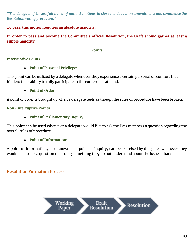**"***The delegate of (insert full name of nation) motions to close the debate on amendments and commence the Resolution voting procedure."*

**To pass, this motion requires an absolute majority.**

**In order to pass and become the Committee's official Resolution, the Draft should garner at least a simple majority.**

#### **Points**

#### **Interruptive Points**

**● Point of Personal Privilege:**

This point can be utilized by a delegate whenever they experience a certain personal discomfort that hinders their ability to fully participate in the conference at hand.

**● Point of Order:**

A point of order is brought up when a delegate feels as though the rules of procedure have been broken.

**Non-Interruptive Points**

**● Point of Parliamentary Inquiry:**

This point can be used whenever a delegate would like to ask the Dais members a question regarding the overall rules of procedure.

**● Point of Information:**

A point of information, also known as a point of inquiry, can be exercised by delegates whenever they would like to ask a question regarding something they do not understand about the issue at hand.

**Resolution Formation Process**

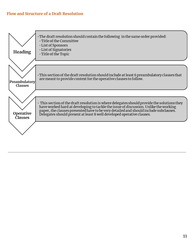#### **Flow and Structure of a Draft Resolution**

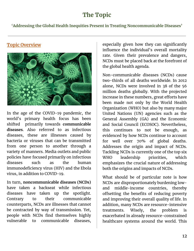### **The Topic**

**'Addressing the Global Health Inequities Present in Treating Noncommunicable Diseases'**

**Topic Overview**

In the age of the COVID-19 pandemic, the world's primary health focus has been shifted primarily towards **communicable diseases**. Also referred to as infectious diseases, these are illnesses caused by bacteria or viruses that can be transmitted from one person to another through a variety of manners. Media outlets and public policies have focused primarily on infectious diseases such as the human immunodeficiency virus (HIV) and the Ebola virus, in addition to COVID-19.

In turn, **noncommunicable diseases (NCDs)** have taken a backseat while infectious diseases have taken up the spotlight. Contrary to their communicable counterparts, NCDs are illnesses that cannot be contracted by way of transmission. Yet, people with NCDs find themselves highly vulnerable to communicable diseases, especially given how they can significantly influence the individual's overall mortality rate. Given their prevalence and dangers, NCDs must be placed back at the forefront of the global health agenda.

Non-communicable diseases (NCDs) cause two-thirds of all deaths worldwide. In 2012 alone, NCDs were involved in 38 of the 56 million deaths globally. With the projected increase in these numbers, great efforts have been made not only by the World Health Organization (WHO) but also by many major United Nations (UN) agencies such as the General Assembly (GA) and the Economic and Social Council (ECOSOC). Nevertheless, this continues to not be enough, as evidenced by how NCDs continue to account for well over 70% of global deaths. Addresses the origin and impact of NCDs. Tackling NCDs is currently one of the top six WHO leadership priorities, which emphasizes the crucial nature of addressing both the origins and impacts of NCDs.

What should be of particular note is how NCDs are disproportionately burdening lowand middle-income countries, thereby offsetting the benefits of reducing poverty and improving their overall quality of life. In addition, many NCDs are resource-intensive treatments. Wisely, the problem is exacerbated in already resource-constrained healthcare systems around the world. This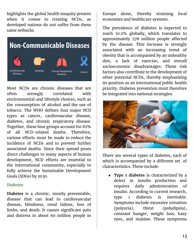highlights the global health inequity present when it comes to treating NCDs, as developed nations do not suffer from these same setbacks.



Most NCDs are chronic diseases that are often strongly correlated with environmental and lifestyle choices, such as the consumption of alcohol and the use of tobacco. The WHO defines four major NCD types as cancer, cardiovascular disease, diabetes, and chronic respiratory disease. Together, these four groups account for 82% of all NCD-related deaths. Therefore, various efforts must be made to reduce the incidence of NCDs and to prevent further associated deaths. Since their spread poses direct challenges to many aspects of human development, NCD efforts are essential to the international community, especially to fully achieve the Sustainable Development Goals (SDGs) by 2030.

#### **Diabetes**

**Diabetes** is a chronic, mostly preventable, disease that can lead to cardiovascular disease, blindness, renal failure, loss of limbs, and death. It causes significant pain and distress in about 60 million people in Europe alone, thereby straining local economies and healthcare systems.

The prevalence of diabetes is expected to reach 10.2% globally, which translates to approximately 578 million people affected by the disease. This increase is strongly associated with an increasing trend of obesity that is accompanied by an unhealthy diet, a lack of exercise, and overall socioeconomic disadvantages. These risk factors also contribute to the development of other potential NCDs, thereby emphasizing its position as an international public health priority. Diabetes prevention must therefore be integrated into national strategies.



There are several types of diabetes, each of which is accompanied by a different set of characteristics. These include:

● **Type 1 diabetes** is characterized by a defect in insulin production and requires daily administration of insulin. According to current research, type 1 diabetes is inevitable. Symptoms include excessive urination (polyuria), thirst (polydipsia), constant hunger, weight loss, hazy eyes, and malaise. These symptoms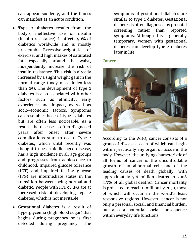can appear suddenly, and the illness can manifest as an acute condition.

- **Type 2 diabetes** results from the body's ineffective use of insulin (insulin resistance). It affects 90% of diabetics worldwide and is mostly preventable. Excessive weight, lack of exercise, and high intakes of saturated fat, especially around the waist, independently increase the risk of insulin resistance. This risk is already increased by a slight weight gain in the normal range (body mass index less than 25). The development of type 2 diabetes is also associated with other factors such as ethnicity, early experience and impact, as well as socio-economic factors. Symptoms can resemble those of type 1 diabetes but are often less noticeable. As a result, the disease is often diagnosed years after onset after severe complications start to occur. Type 2 diabetes, which until recently was thought to be a middle-aged disease, has a high incidence in all age groups and progresses from adolescence to childhood. Impaired glucose tolerance (IGT) and impaired fasting glucose (IFG) are intermediate states in the transition between being normal and diabetic. People with IGT or IFG are at increased risk of developing type 2 diabetes, which is not inevitable.
- **Gestational diabetes** is a result of hyperglycemia (high blood sugar) that begins during pregnancy or is first detected during pregnancy. The

symptoms of gestational diabetes are similar to type 2 diabetes. Gestational diabetes is often diagnosed by prenatal screening rather than reported symptoms. Although this is generally temporary, women with gestational diabetes can develop type 2 diabetes later in life.

#### **Cancer**



According to the WHO, cancer consists of a group of diseases, each of which can begin within practically any organ or tissue in the body. However, the unifying characteristic of all forms of cancer is the uncontrollable growth of an abnormal cell. one of the leading causes of death globally, with approximately 7.6 million deaths in 2008 (13% of all global deaths). Cancer mortality is projected to reach 11 million by 2030, most of which will occur in the world's least responsive regions. However, cancer is not only a personal, social, and financial burden, but also a potential social consequence within everyday life functions.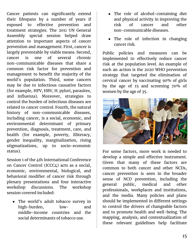Cancer patients can significantly extend their lifespans by a number of years if exposed to effective prevention and treatment strategies. The 2011 UN General Assembly special session helped draw attention to important aspects of cancer prevention and management. First, cancer is largely preventable by viable means. Second, cancer is one of several chronic non-communicable diseases that share a common risk factor for prevention and management to benefit the majority of the world's population. Third, some cancers may be due to infectious causative factors (for example, HPV, HBV, H. pylori, parasites, and influenza). Moreover, strategies to control the burden of infectious diseases are related to cancer control. Fourth, the natural history of non-communicable diseases, including cancer, is a social, economic, and environmental determinant of primary prevention, diagnosis, treatment, care, and health (for example, poverty, illiteracy, gender inequality, marginalization, rising stigmatizations, up to socio-economic status).

Session 1 of the 4th International Conference on Cancer Control (ICCC4) acts as a social, economic, environmental, biological, and behavioral modifier of cancer risk through plenary presentations and four interactive workshop discussions. The workshop session covered included:

● The world's adult tobacco survey in high-burden, low- and middle-income countries and the social determinants of tobacco use.

- The role of alcohol-containing diet and physical activity in improving the risk of cancer and other non-communicable diseases.
- The role of infection in changing cancer risk.

Public policies and measures can be implemented to effectively reduce cancer risk at the population level. An example of such an action is the 2020 WHO prevention strategy that targeted the elimination of cervical cancer by vaccinating 90% of girls by the age of 15 and screening 70% of women by the age of 35.



For some factors, more work is needed to develop a simple and effective instrument. Given that many of these factors are common to both cancer and other NCDs, cancer prevention is seen in the broader sense of NCD prevention, including the general public, medical and other professionals, workplaces and institutions, and the media. Many policies and plans should be implemented in different settings to control the drivers of changeable factors and to promote health and well-being. The mapping, analysis, and contextualization of these relevant guidelines help facilitate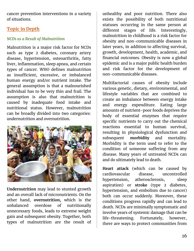cancer prevention interventions in a variety of situations.

### **Topic in Depth**

### *NCDs as a Result of Malnutrition*

Malnutrition is a major risk factor for NCDs such as type 2 diabetes, coronary artery disease, hypertension, osteoarthritis, fatty liver, inflammation, sleep apnea, and certain types of cancer. WHO defines malnutrition as insufficient, excessive, or imbalanced human energy and/or nutrient intake. The general assumption is that a malnourished individual has to be very thin and frail. The assumption is also that malnutrition is caused by inadequate food intake and nutritional status. However, malnutrition can be broadly divided into two categories: undernutrition and overnutrition.



**Undernutrition** may lead to stunted growth and an overall lack of micronutrients. On the other hand, **overnutrition,** which is the unbalanced overdose of nutritionally unnecessary foods, leads to extreme weight gain and subsequent obesity. Together, both types of malnutrition are the result of unhealthy and poor nutrition. There also exists the possibility of both nutritional statuses occurring in the same person at different stages of life. Interestingly, malnutrition in childhood is a risk factor for obesity and non-communicable diseases in later years, in addition to affecting survival, growth, development, health, academic, and financial outcomes. Obesity is now a global epidemic and is a major public health burden and risk factor for the development of non-communicable diseases.

Multifactorial causes of obesity include various genetic, dietary, environmental, and lifestyle variables that are combined to create an imbalance between energy intake and energy expenditure. Eating large amounts of nutrient-poor foods deprives the body of essential enzymes that require specific nutrients to carry out the chemical reactions essential to human survival, resulting in physiological dysfunction and subsequent **morbidity** and mortality. Morbidity is the term used to refer to the condition of someone suffering from any disease. Many years of untreated NCDs can and do ultimately lead to death.

**Heart attack** (which can be caused by cardiovascular disease, uncontrolled hypertension, atherosclerosis, sleep aspiration) or **stroke** (type 2 diabetes, hypertension, and embolism due to cancer) both can occur suddenly. Moreover, these conditions progress rapidly and can lead to death. NCDs are minimally symptomatic and involve years of systemic damage that can be life-threatening. Fortunately, however, there are ways to protect communities from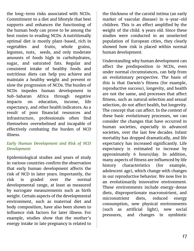the long-term risks associated with NCDs. Commitment to a diet and lifestyle that best supports and enhances the functioning of the human body can prove to be among the best routes to evading NCDs. A nutritionally optimal diet is mostly plant-based, rich in vegetables and fruits, whole grains, legumes, nuts, seeds, and only moderate amounts of foods high in carbohydrates, sugar, and saturated fats. Regular and consistent intake of healthy foods and nutritious diets can help you achieve and maintain a healthy weight and prevent or slow the progression of NCDs. The burden of NCDs impedes human development in Sub-Saharan Africa through negative impacts on education, income, life expectancy, and other health indicators. As a result of poor financial resources and infrastructure, professionals often find themselves overwhelmed and incapable of effectively combating the burden of NCD illness.

#### *Early Human Development and Risk of NCD Development*

Epidemiological studies and years of study in various countries confirm the observation that early human development affects the risk of NCD in later years. Importantly, the risk is graded over the normal developmental range, at least as measured by surrogate measurements such as birth weight. Certain aspects of the developmental environment, such as maternal diet and body composition, have also been shown to influence risk factors for later illness. For example, studies show that the mother's energy intake in late pregnancy is related to

the thickness of the carotid intima (an early marker of vascular disease) in 9-year-old children. This is an effect amplified by the weight of the child. 9 years old. Since these studies were conducted in an unselected population of European cities, they clearly showed how risk is placed within normal human development.

Understanding why human development can affect the predisposition to NCDs, even under normal circumstances, can help from an evolutionary perspective. The basis of this is that Darwin's fitness (for example, reproductive success), longevity, and health are not the same, and processes that affect fitness, such as natural selection and sexual selection, do not affect health, but longevity. The concept that can affect. In the context of these basic evolutionary processes, we can consider the changes that have occurred in human societies, especially in advanced societies, over the last few decades. Infant mortality has dropped dramatically, and life expectancy has increased significantly. Life expectancy is estimated to increase by approximately 6 hours/day. In addition, many aspects of fitness are influenced by life history characteristics (for example, adolescent age), which change with changes in our reproductive behavior. We now live in an evolutionarily innovative environment. These environments include energy-dense diets, disproportionate macronutrient, and micronutrient diets, reduced energy consumption, new physical environments (such as artificial light), new social pressures, and changes in symbiotic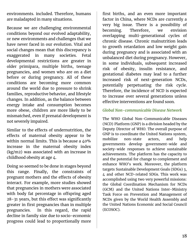environments. included. Therefore, humans are maladapted in many situations.

Because we are challenging environmental conditions beyond our evolved adaptability, or new environments and challenges that we have never faced in our evolution. Vital and social changes mean that this discrepancy is exaggerated in many societies. Fetal developmental restrictions are greater in older primipara, multiple births, teenage pregnancies, and women who are on a diet before or during pregnancy. All of these conditions are becoming more common around the world due to pressure to shrink families, reproductive behavior, and lifestyle changes. In addition, as the balance between energy intake and consumption becomes more obese, children are more likely to be mismatched, even if prenatal development is not severely impaired.

Similar to the effects of undernutrition, the effects of maternal obesity appear to be within normal limits. This is because a 40% increase in the maternal obesity index (kg/m2) was associated with an increase in childhood obesity at age 4.

Doing so seemed to be done in stages beyond this range. Finally, the constraints of pregnant mothers and the effects of obesity interact. For example, more studies showed that pregnancies in mothers were associated with body fat percentage in offspring aged 28-31 years, but this effect was significantly greater in first pregnancies than in multiple pregnancies. In this regard, the rapid decline in family size due to socio-economic progress could lead to proportionally more first births, and an even more important factor in China, where NCDs are currently a very big issue. There is a possibility of becoming. Therefore, we envision overlapping multi-generational cycles of chronic disease. Chronic malnutrition leads to growth retardation and low weight gain during pregnancy and is associated with an unbalanced diet during pregnancy. However, in some individuals, subsequent increased risk of obesity, insulin resistance, and gestational diabetes may lead to a further increased risk of next-generation NCDs, potentially perpetuating the risk cycle. Therefore, the incidence of NCD is expected to increase over several generations unless effective interventions are found soon.

#### *Global Non-communicable Disease Network*

The WHO Global Non-Communicable Diseases (NCD) Platform (GNP) is a division headed by the Deputy Director of WHO. The overall purpose of GNP is to coordinate the United Nations system, mobilize non-state actors, and help governments develop government-wide and society-wide responses to achieve sustainable achievements. The platform has the capacity to and the potential for change to complement and enhance WHO's work. Moreover, the platform targets Sustainable Development Goals (SDGs) 3, 4 and other NCD-related SDGs. This work was accomplished using two very powerful missions: the Global Coordination Mechanism for NCDs (GCM) and the United Nations Inter-Ministry Task Force on Prevention and Management of NCDs given by the World Health Assembly and the United Nations Economic and Social Council (ECOSOC).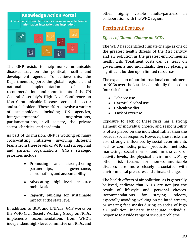

The GNP exists to help non-communicable diseases stay on the political, health, and development agenda. To achieve this, the Department supports the global, regional, and national implementation of the recommendations and commitments of the UN General Assembly's High-Level Conference on Non-Communicable Diseases, across the sector and stakeholders. These efforts involve a variety of stakeholders, including UN agencies, intergovernmental organizations, parliamentarians, civil society, the private sector, charities, and academia.

As part of its mission, GNP is working on many cross-cutting initiatives involving different teams from three levels of WHO and six regional and partner organizations. GNP's strategic priorities include:

- Promoting and strengthening partnerships, governance, coordination, and accountability.
- Advocating high-level resource mobilization.
- Capacity building for sustainable impact at the state level.

In addition to GCM and UNIATF, GNP works on the WHO Civil Society Working Group on NCDs, implements recommendations from WHO's independent high-level committee on NCDs, and

other highly visible multi-partners in collaboration with the WHO region.

### **Pertinent Features**

#### *Effects of Climate Change on NCDs*

The WHO has identified climate change as one of the greatest health threats of the 21st century and air pollution as the greatest environmental health risk. Treatment costs can be heavy on governments and individuals, thereby placing a significant burden upon limited resources.

The expansion of our international commitment to NCDs over the last decade initially focused on four risk factors:

- Tobacco use
- Harmful alcohol use
- Unhealthy diet
- Lack of exercise

Exposure to each of these risks has a strong element of individual choice, and responsibility is often placed on the individual rather than the broader social response. However, these risks are also strongly influenced by social determinants such as commodity prices, production methods, marketing, social norms, and, in the case of activity levels, the physical environment. Many other risk factors for non-communicable diseases are more closely associated with environmental pressures and climate change.

The health effects of air pollution, as is generally believed, indicate that NCDs are not just the result of lifestyle and personal choices. Recommendations for staying indoors, especially avoiding walking on polluted streets, or wearing face masks during episodes of high air pollution indicate inadequate individual response to a wide range of serious problems.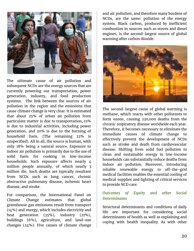

The ultimate cause of air pollution and subsequent NCDs are the energy sources that are currently powering our transportation, power generation, industry, and food production systems. The link between the sources of air pollution in the region and the emissions that cause climate change is very clear. It is estimated that about 25% of urban air pollution from particulate matter is due to transportation, 15% is due to industrial activities, including power generation, and 20% is due to the burning of household fuels. (The remaining 22% is unspecified). All in all, the source is human, with only 18% being a natural source. Exposure to indoor air pollution is primarily due to the use of solid fuels for cooking in low-income households. Such exposure affects nearly 4 million people annually, of which nearly 3 million die. Such deaths are typically resultant from NCDs such as lung cancer, chronic obstructive pulmonary disease, ischemic heart disease, and stroke.

For comparison, the International Panel on Climate Change estimates that global greenhouse gas emissions result from transport (14%) and energy, which includes electricity and heat generation (35%), industry (21%), buildings (6%), agriculture, and land-use changes (24%). Five causes of climate change

and air pollution, and therefore many burdens of NCDs, are the same: pollution of the energy system. Black carbon, produced by inefficient combustion in sources such as stoves and diesel engines, is the second-largest source of global warming after carbon dioxide.



The second-largest cause of global warming is methane, which reacts with other pollutants to form ozone, causing 230,000 deaths from the chronic respiratory disease worldwide each year. Therefore, it becomes necessary to eliminate the immediate causes of climate change to effectively prevent the development of NCDs such as stroke and death from cardiovascular disease. Shifting from solid fuel pollution to clean and sustainable energy in low-income households can substantially reduce deaths from indoor air pollution. Moreover, introducing reliable renewable energy to off-the-grid medical facilities enables the essential cooling of medical supplies and lighting of critical services to provide NCD care.

#### *Outcomes of Equity and other Social Determinants*

Structural determinants and conditions of daily life are important for considering social determinants of health as well as explaining and coping with health inequality. As with other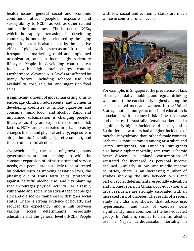health issues, general social and economic conditions affect people's exposure and susceptibility to NCDs, as well as other related and medical outcomes. The burden of NCDs, which is rapidly increasing in developing countries, is not only accelerated by the aging population, as it is also caused by the negative effects of globalization, such as unfair trade and irresponsible marketing, rapid and unplanned urbanization, and an increasingly sedentary lifestyle. People in developing countries eat foods with high total energy content. Furthermore, elevated NCD levels are affected by many factors, including tobacco use and availability, cost, salt, fat, and sugar-rich food sales.

A significant amount of global marketing aims to encourage children, adolescents, and women in developing countries to smoke cigarettes and consume "junk food" and alcohol. Rapid and unplanned urbanization is changing people's lifestyles as they are exposed to common risk factors. NCDs are exacerbated in urban areas by changes in diet and physical activity, exposure to air pollutants (including cigarette smoke), and the use of harmful alcohol.

Overwhelmed by the pace of growth, many governments are not keeping up with the constant expansion of infrastructure and service needs, and people are less likely to be protected by policies such as smoking cessation laws, the phasing out of trans fatty acids, protection against harmful alcohol use, and city planning that encourages physical activity. As a result, vulnerable and socially disadvantaged people get sick and die sooner than those with higher social status. There is strong evidence of poverty and reduced life expectancy, and a link between various social determinants, especially education and the general level ofNCDs. People

with low social and economic status are much worse in countries of all levels.



For example, in Singapore, the prevalence of lack of exercise, daily smoking, and regular drinking was found to be consistently highest among the least educated men and women. In the United States, another four years of school education is associated with a reduced risk of heart disease and diabetes. In Australia, female workers had a significantly higher incidence of cancer, and in Spain, female workers had a higher incidence of metabolic syndrome than other female workers. Diabetes is more common among Australian and Dutch immigrants, but Canadian immigrants also have a higher mortality rate from ischemic heart disease. In Finland, consumption of saturated fat increased as personal income declined. Similarly, in low- and middle-income countries, there is an increasing number of studies showing the link between NCDs and certain social determinants, especially education and income levels. In China, poor education and urban residence are strongly associated with an increased risk of diabetes. The results of a recent study in India also showed that tobacco use, hypertension, and lack of exercise were significantly more common in the less educated group. In Vietnam, similar to harmful alcohol use in Nepal, cardiovascular mortality in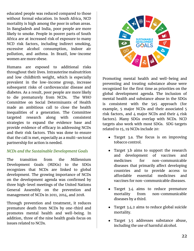educated people was reduced compared to those without formal education. In South Africa, NCD mortality is high among the poor in urban areas. In Bangladesh and India, poor people are more likely to smoke. People in poorer parts of South Africa are at increased risk of exposure to many NCD risk factors, including indirect smoking, excessive alcohol consumption, indoor air pollution, and asthma. In Brazil, low-income women are more obese.

Humans are exposed to additional risks throughout their lives. Intrauterine malnutrition and low childbirth weight, which is especially prevalent in the low-income group, increase subsequent risks of cardiovascular disease and diabetes. As a result, poor people are more likely to die prematurely from NCDs. The WHO Committee on Social Determinants of Health made an ambitious call to close the health inequalities of a generation. The Committee targeted research along with consistent strategies to expand the evidence base and provide evidence of efficacy in addressing NCDs and their risk factors. This was done to ensure that the call is met, especially as a multi-sectoral partnership for action is needed.

#### *NCDs and the Sustainable Development Goals*

The transition from the Millennium Development Goals (MDGs) to the SDGs recognizes that NCDs are linked to global development. The growing importance of NCDs on the development agenda was confirmed by three high-level meetings of the United Nations General Assembly on the prevention and management of NCDs in 2011, 2014, and 2018.

Through prevention and treatment, it reduces premature death from NCDs by one-third and promotes mental health and well-being. In addition, three of the nine health goals focus on issues related to NCDs.



Promoting mental health and well-being and preventing and treating substance abuse were recognized for the first time as priorities on the global development agenda. The inclusion of mental health and substance abuse in the SDGs is consistent with the 5x5 approach (for example, 5 major NCDs and their associated 5 risk factors, and  $4$  major NCDs and their  $4$  risk factors). Many SDGs overlap with NCDs. NCD targets also work with most SDGs. SDG targets related to 15, 19 NCDs include 20:

- Target 3.a. The focus is on improving tobacco control.
- Target 3.b aims to support the research and development of vaccines and medicines for non-communicable diseases that primarily affect developing countries and to provide access to affordable essential medicines and vaccines for non-communicable diseases.
- Target 3.4 aims to reduce premature mortality from non-communicable diseases by a third.
- Target 3.4.2 aims to reduce global suicide mortality.
- Target 3.5 addresses substance abuse, including the use of harmful alcohol.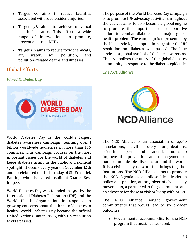- Target 3.6 aims to reduce fatalities associated with road accident injuries.
- Target 3.8 aims to achieve universal health insurance. This affects a wide range of interventions to promote, prevent and treat NCDs.
- Target 3.9 aims to reduce toxic chemicals, air, water, soil pollution, and pollution-related deaths and illnesses.

### **Global Efforts**

#### *World Diabetes Day*



World Diabetes Day is the world's largest diabetes awareness campaign, reaching over 1 billion worldwide audiences in more than 160 countries. This campaign focuses on the most important issues for the world of diabetes and keeps diabetes firmly in the public and political spotlight. It occurs every year on **November 14th** and is celebrated on the birthday of Sir Frederick Banting, who discovered insulin at Charles Best in 1922.

World Diabetes Day was founded in 1991 by the International Diabetes Federation (IDF) and the World Health Organization in response to growing concerns about the threat of diabetes to health. World Diabetes Day became the official United Nations Day in 2006, with UN resolution 61/225 passed.

The purpose of the World Diabetes Day campaign is to promote IDF advocacy activities throughout the year. It aims to also become a global engine to promote the importance of collaborative action to combat diabetes as a major global health problem. The campaign is represented by the blue circle logo adopted in 2007 after the UN resolution on diabetes was passed. The blue circle is a global symbol of diabetes awareness. This symbolizes the unity of the global diabetes community in response to the diabetes epidemic.

#### *The NCD Alliance*



The NCD Alliance is an association of 2,000 associations, civil society organizations, scientific experts, and academic studies to improve the prevention and management of non-communicable diseases around the world. It is a civil society network that brings together institutions. The NCD Alliance aims to promote the NCD Agenda as a philosophical leader in policy and practice, an organizer of civil society movements, a partner with the government, and an advocate for those at risk or living with NCDs.

The NCD Alliance sought government commitments that would lead to six broader outcomes:

● Governmental accountability for the NCD program that must be measured.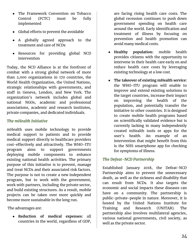- The Framework Convention on Tobacco Control (FCTC) must be fully implemented
- Global efforts to prevent the avoidable
- A globally agreed approach to the treatment and care of NCDs
- Resources for providing global NCD intervention

Today, the NCD Alliance is at the forefront of combat with a strong global network of more than 2,000 organizations in 170 countries, the World Health Organization, the United Nations, strategic relationships with governments, and staff in Geneva, London, and New York. The organization's network includes global and national NGOs, academic and professional associations, academic and research institutes, private companies, and dedicated individuals.

### *The mHealth Initiative*

mHealth uses mobile technology to provide medical support to patients and to provide medical support directly to healthcare providers cost-effectively and attractively. The WHO-ITU program aims to support governments deploying mobile components to enhance existing national health activities. The primary purpose of this initiative is to prevent, manage and treat NCDs and their associated risk factors. The purpose is not to create a new independent program, but to work with the government, work with partners, including the private sector, and build existing structures. As a result, mobile projects can be taken over more quickly and become more sustainable in the long run.

The advantages are:

● **Reduction of medical expenses:** all countries in the world, regardless of GDP,

are facing rising health care costs. The global recession continues to push down government spending on health care around the world. Early identification and treatment of illness by focusing on prevention and health promotion can avoid many medical costs.

- **Healthy population:** mobile health provides citizens with the opportunity to intervene in their health care early on and reduce health care costs by leveraging existing technology at a low cost.
- **The takeover of existing mHealth service:** the WHO-ITU program will enable to improve and extend existing solutions in the target countries, increase their impact on improving the health of the population, and potentially transfer the initiative to other countries. It is designed to create mobile health programs based on scientifically validated evidence but is currently lacking in many independently created mHealth tools or apps for the user's health. An example of an intervention that might benefit from this is the NHS smartphone app for checking for symptoms of illness.

### *The Defeat-NCD Partnership*

Established January 2018, the Defeat-NCD Partnership aims to prevent the unnecessary death, as well as the sickness and disability that can result from NCDs. It also targets the economic and social impacts these diseases can have on a community. The partnership is public-private-people in nature. Moreover, it is hosted by the United Nations Institute for Training and Research (UNITAR). The partnership also involves multilateral agencies, various national governments, civil society, as well as the private sector.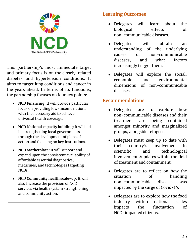

This partnership's most immediate target and primary focus is on the closely-related diabetes and hypertension conditions. It aims to target lung conditions and cancer in the years ahead. In terms of its functions, the partnership focuses on four key points:

- **NCD Financing:** It will provide particular focus on providing low-income nations with the necessary aid to achieve universal health coverage.
- **NCD National capacity building:** It will aid in strengthening local governments through the development of plans of action and focusing on key institutions.
- **NCD Marketplace:** It will support and expand upon the consistent availability of affordable essential diagnostics, medicines, and technologies targeting NCDs.
- **NCD Community health scale-up:** It will also Increase the provision of NCD services via health system strengthening and community action.

### **Learning Outcomes**

- Delegates will learn about the biological effects of non-communicable diseases.
- Delegates will obtain an understanding of the underlying causes of non-communicable diseases, and what factors increasingly trigger them.
- Delegates will explore the social, economic, and environmental dimensions of non-communicable diseases.

### **Recommendations**

- Delegates are to explore how non-communicable diseases and their treatment are being contained amongst minority and marginalized groups, alongside refugees.
- Delegates must keep up to date with their country's involvement in scientific and technological involvements/updates within the field of treatment and containment.
- Delegates are to reflect on how the situation of handling non-communicable diseases was impacted by the surge of Covid-19.
- Delegates are to explore how the food industry within national scales impacts the fluctuation of NCD-impacted citizens.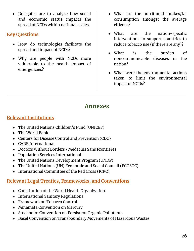● Delegates are to analyze how social and economic status impacts the spread of NCDs within national scales.

### **Key Questions**

- How do technologies facilitate the spread and impact of NCDs?
- Why are people with NCDs more vulnerable to the health impact of emergencies?
- What are the nutritional intakes/fat consumption amongst the average citizens?
- What are the nation-specific interventions to support countries to reduce tobacco use (if there are any)?
- What is the burden of noncommunicable diseases in the nation?
- What were the environmental actions taken to limit the environmental impact of NCDs?

### **Annexes**

### **Relevant Institutions**

- The United Nations Children's Fund (UNICEF)
- The World Bank
- Centers for Disease Control and Prevention (CDC)
- CARE International
- Doctors Without Borders / Medecins Sans Frontieres
- Population Services International
- The United Nations Development Program (UNDP)
- The United Nations (UN) Economic and Social Council (ECOSOC)
- International Committee of the Red Cross (ICRC)

### **Relevant Legal Treaties, Frameworks, and Conventions**

- Constitution of the World Health Organization
- International Sanitary Regulations
- Framework on Tobacco Control
- Minamata Convention on Mercury
- Stockholm Convention on Persistent Organic Pollutants
- Basel Convention on Transboundary Movements of Hazardous Wastes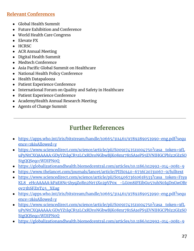### **Relevant Conferences**

- Global Health Summit
- Future Exhibition and Conference
- World Health Care Congress
- Elevate PX
- HCRSC
- ACR Annual Meeting
- Digital Health Summit
- Medtech Conference
- Asia Pacific Global Summit on Healthcare
- National Health Policy Conference
- Health Datapalooza
- Patient Experience Conference
- International Forum on Quality and Safety in Healthcare
- Patient Experience Conference
- AcademyHealth Annual Research Meeting
- Agents of Change Summit

## **Further References**

- [https://apps.who.int/iris/bitstream/handle/10665/311461/9789289053990-eng.pdf?sequ](https://apps.who.int/iris/bitstream/handle/10665/311461/9789289053990-eng.pdf?sequence=1&isAllowed=y) [ence=1&isAllowed=y](https://apps.who.int/iris/bitstream/handle/10665/311461/9789289053990-eng.pdf?sequence=1&isAllowed=y)
- [https://www.sciencedirect.com/science/article/pii/S0091743511004750?casa\\_token=9fL](https://www.sciencedirect.com/science/article/pii/S0091743511004750?casa_token=9fLuPyNtCXQAAAAA:GDyYZ1lqCR51LCxRDroNGbwBjK08mr781SA1ePS5EVNIHGCPbIz2GIzSOStgQQSeqccWDIPN0Q) [uPyNtCXQAAAAA:GDyYZ1lqCR51LCxRDroNGbwBjK08mr781SA1ePS5EVNIHGCPbIz2GIzSO](https://www.sciencedirect.com/science/article/pii/S0091743511004750?casa_token=9fLuPyNtCXQAAAAA:GDyYZ1lqCR51LCxRDroNGbwBjK08mr781SA1ePS5EVNIHGCPbIz2GIzSOStgQQSeqccWDIPN0Q) [StgQQSeqccWDIPN0Q](https://www.sciencedirect.com/science/article/pii/S0091743511004750?casa_token=9fLuPyNtCXQAAAAA:GDyYZ1lqCR51LCxRDroNGbwBjK08mr781SA1ePS5EVNIHGCPbIz2GIzSOStgQQSeqccWDIPN0Q)
- <https://globalizationandhealth.biomedcentral.com/articles/10.1186/s12992-014-0081-9>
- [https://www.thelancet.com/journals/lancet/article/PIIS0140-6736\(20\)31067-9/fulltext](https://www.thelancet.com/journals/lancet/article/PIIS0140-6736(20)31067-9/fulltext)
- https://www.sciencedirect.com/science/article/pii/S0140673610618533?casa\_token=F1ya KL8\_eHcAAAAA:kPaE8Nc5hyqZoRn2Nrt3Xo2pVP0x\_-LG0n8iFEibGu57uhN0IqDnGwOBr ov23hSFZnT45\_XEag
- [https://apps.who.int/iris/bitstream/handle/10665/311461/9789289053990-eng.pdf?sequ](https://apps.who.int/iris/bitstream/handle/10665/311461/9789289053990-eng.pdf?sequence=1&isAllowed=y) [ence=1&isAllowed=y](https://apps.who.int/iris/bitstream/handle/10665/311461/9789289053990-eng.pdf?sequence=1&isAllowed=y)
- [https://www.sciencedirect.com/science/article/pii/S0091743511004750?casa\\_token=9fL](https://www.sciencedirect.com/science/article/pii/S0091743511004750?casa_token=9fLuPyNtCXQAAAAA:GDyYZ1lqCR51LCxRDroNGbwBjK08mr781SA1ePS5EVNIHGCPbIz2GIzSOStgQQSeqccWDIPN0Q) [uPyNtCXQAAAAA:GDyYZ1lqCR51LCxRDroNGbwBjK08mr781SA1ePS5EVNIHGCPbIz2GIzSO](https://www.sciencedirect.com/science/article/pii/S0091743511004750?casa_token=9fLuPyNtCXQAAAAA:GDyYZ1lqCR51LCxRDroNGbwBjK08mr781SA1ePS5EVNIHGCPbIz2GIzSOStgQQSeqccWDIPN0Q) [StgQQSeqccWDIPN0Q](https://www.sciencedirect.com/science/article/pii/S0091743511004750?casa_token=9fLuPyNtCXQAAAAA:GDyYZ1lqCR51LCxRDroNGbwBjK08mr781SA1ePS5EVNIHGCPbIz2GIzSOStgQQSeqccWDIPN0Q)
- <https://globalizationandhealth.biomedcentral.com/articles/10.1186/s12992-014-0081-9>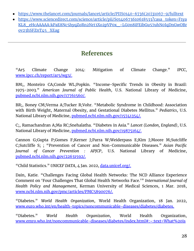- [https://www.thelancet.com/journals/lancet/article/PIIS0140-6736\(20\)31067-9/fulltext](https://www.thelancet.com/journals/lancet/article/PIIS0140-6736(20)31067-9/fulltext)
- https://www.sciencedirect.com/science/article/pii/S0140673610618533?casa\_token=F1ya KL8\_eHcAAAAA:kPaE8Nc5hyqZoRn2Nrt3Xo2pVP0x\_-LG0n8iFEibGu57uhN0IqDnGwOBr ov23hSFZnT45\_XEag

### **References**

"Ar5 Climate Change 2014: Mitigation of Climate Change." *IPCC*, www.ipcc.ch/report/ar5/wg3/.

BM;, Monteiro CA;Conde WL;Popkin. "Income-Specific Trends in Obesity in Brazil: 1975-2003." *American Journal of Public Health*, U.S. National Library of Medicine, pubmed.ncbi.nlm.nih.gov/17761560/.

BR;, Boney CM;Verma A;Tucker R;Vohr. "Metabolic Syndrome in Childhood: Association with Birth Weight, Maternal Obesity, and Gestational Diabetes Mellitus." *Pediatrics*, U.S. National Library of Medicine, pubmed.ncbi.nlm.nih.gov/15741354/.

C;, Ramachandran A;Ma RC;Snehalatha. "Diabetes in Asia." *Lancet (London, England)*, U.S. National Library of Medicine, pubmed.ncbi.nlm.nih.gov/19875164/.

Cannon G;Gupta P;Gomes F;Kerner J;Parra W;Weiderpass E;Kim J;Moore M;Sutcliffe C;Sutcliffe S; ; "Prevention of Cancer and Non-Communicable Diseases." *Asian Pacific Journal of Cancer Prevention : APJCP*, U.S. National Library of Medicine, pubmed.ncbi.nlm.nih.gov/22631592/.

"Child Statistics." *UNICEF DATA*, 4 Jan. 2022, data.unicef.org/.

Dain, Katie. "Challenges Facing Global Health Networks: The NCD Alliance Experience Comment on 'Four Challenges That Global Health Networks Face.'" *International Journal of Health Policy and Management*, Kerman University of Medical Sciences, 1 Mar. 2018, www.ncbi.nlm.nih.gov/pmc/articles/PMC5890076/.

"Diabetes." *World Health Organization*, World Health Organization, 18 Jan. 2022, www.euro.who.int/en/health-topics/noncommunicable-diseases/diabetes/diabetes.

"Diabetes." *World Health Organization*, World Health Organization, www.emro.who.int/noncommunicable-diseases/diabetes/index.html#:~:text=What%20is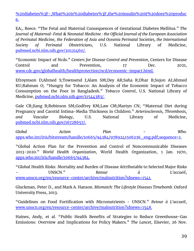%20diabetes%3F-,What%20is%20diabetes%3F,the%20insulin%20it%20does%20produc e.

EA;, Reece. "The Fetal and Maternal Consequences of Gestational Diabetes Mellitus." *The Journal of Maternal-Fetal & Neonatal Medicine : the Official Journal of the European Association of Perinatal Medicine, the Federation of Asia and Oceania Perinatal Societies, the International Society of Perinatal Obstetricians*, U.S. National Library of Medicine, pubmed.ncbi.nlm.nih.gov/20121460/.

"Economic Impact of Ncds." *Centers for Disease Control and Prevention*, Centers for Disease Control and Prevention, 17 Dec. 2021, www.cdc.gov/globalhealth/healthprotection/ncd/economic-impact.html.

Efroymson D;Ahmed S;Townsend J;Alam SM;Dey AR;Saha R;Dhar B;Sujon AI;Ahmed KU;Rahman O; "Hungry for Tobacco: An Analysis of the Economic Impact of Tobacco Consumption on the Poor in Bangladesh." *Tobacco Control*, U.S. National Library of Medicine, pubmed.ncbi.nlm.nih.gov/11544383/.

Gale CR;Jiang B;Robinson SM;Godfrey KM;Law CM;Martyn CN; "Maternal Diet during Pregnancy and Carotid Intima-Media Thickness in Children." *Arteriosclerosis, Thrombosis, and Vascular Biology*, U.S. National Library of Medicine, pubmed.ncbi.nlm.nih.gov/16728657/.

*Global Action Plan - Who*. apps.who.int/iris/bitstream/handle/10665/94384/9789241506236\_eng.pdf;sequence=1.

"Global Action Plan for the Prevention and Control of Noncommunicable Diseases 2013-2020." *World Health Organization*, World Health Organization, 1 Jan. 1970, apps.who.int/iris/handle/10665/94384.

"Global Health Risks: Mortality and Burden of Disease Attributable to Selected Major Risks - UNSCN." *Retour à L'accueil*, www.unscn.org/en/resource-center/archive/malnutrition?idnews=1541.

Gluckman, Peter D., and Mark A. Hanson. *Mismatch: The Lifestyle Diseases Timebomb*. Oxford University Press, 2013.

"Guidelines on Food Fortification with Micronutrients - UNSCN." *Retour à L'accueil*, www.unscn.org/en/resource-center/archive/malnutrition?idnews=1548.

Haines, Andy, et al. "Public Health Benefits of Strategies to Reduce Greenhouse-Gas Emissions: Overview and Implications for Policy Makers." *The Lancet*, Elsevier, 26 Nov.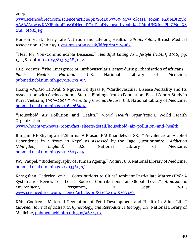2009,

www.sciencedirect.com/science/article/pii/S0140673609617591?casa\_token=R4uIeDtiYyk AAAAA%3A19KAXjFphmjFnyQDHcpqDC7iD3qDt7eowujLx0ohd4vUMmUNXIgsiPhiZMdxXS tAA\_otNXljPg.

Hanson, et al. "Early Life Nutrition and Lifelong Health." *EPrints Soton*, British Medical Association, 1 Jan. 1970, eprints.soton.ac.uk/id/eprint/174983.

"Heal for Non-Communicable Diseases." *Healthful Eating As Lifestyle (HEAL)*, 2016, pp. 13–38., doi:10.1201/9781315368511-8.

HH;, Vorster. "The Emergence of Cardiovascular Disease during Urbanisation of Africans." *Public Health Nutrition*, U.S. National Library of Medicine, pubmed.ncbi.nlm.nih.gov/12027290/.

Hoang VM;Dao LH;Wall S;Nguyen TK;Byass P; "Cardiovascular Disease Mortality and Its Association with Socioeconomic Status: Findings from a Population-Based Cohort Study in Rural Vietnam, 1999-2003." *Preventing Chronic Disease*, U.S. National Library of Medicine, pubmed.ncbi.nlm.nih.gov/16776890/.

"Household Air Pollution and Health." *World Health Organization*, World Health Organization,

www.who.int/en/news-room/fact-sheets/detail/household-air-pollution-and-health.

Jhingan HP;Shyangwa P;Sharma A;Prasad KM;Khandelwal SK; "Prevalence of Alcohol Dependence in a Town in Nepal as Assessed by the Cage Questionnaire." *Addiction (Abingdon, England)*, U.S. National Library of Medicine, pubmed.ncbi.nlm.nih.gov/12603233/.

JW;, Vaupel. "Biodemography of Human Ageing." *Nature*, U.S. National Library of Medicine, pubmed.ncbi.nlm.nih.gov/20336136/.

Karagulian, Federico, et al. "Contributions to Cities' Ambient Particulate Matter (PM): A Systematic Review of Local Source Contributions at Global Level." *Atmospheric Environment*, Pergamon, 1 Sept. 2015, www.sciencedirect.com/science/article/pii/S1352231015303320.

KM;, Godfrey. "Maternal Regulation of Fetal Development and Health in Adult Life." *European Journal of Obstetrics, Gynecology, and Reproductive Biology*, U.S. National Library of Medicine, pubmed.ncbi.nlm.nih.gov/9622311/.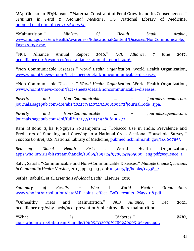MA;, Gluckman PD;Hanson. "Maternal Constraint of Fetal Growth and Its Consequences." *Seminars in Fetal & Neonatal Medicine*, U.S. National Library of Medicine, pubmed.ncbi.nlm.nih.gov/15691778/.

"Malnutrition." *Ministry Of Health Saudi Arabia*, www.moh.gov.sa/en/HealthAwareness/EducationalContent/Diseases/NonCommunicable/ Pages/005.aspx.

"NCD Alliance Annual Report 2016." *NCD Alliance*, 7 June 2017, ncdalliance.org/resources/ncd-alliance-annual-report-2016.

"Non Communicable Diseases." *World Health Organization*, World Health Organization, www.who.int/news-room/fact-sheets/detail/noncommunicable-diseases.

"Non Communicable Diseases." *World Health Organization*, World Health Organization, www.who.int/news-room/fact-sheets/detail/noncommunicable-diseases.

*Poverty and Non-Communicable ... - Journals.sagepub.com*. journals.sagepub.com/doi/abs/10.1177/1403494808100272?journalCode=sjpa.

*Poverty and Non-Communicable ... - Journals.sagepub.com*. journals.sagepub.com/doi/full/10.1177/1403494808100272.

Rani M;Bonu S;Jha P;Nguyen SN;Jamjoum L; "Tobacco Use in India: Prevalence and Predictors of Smoking and Chewing in a National Cross Sectional Household Survey." *Tobacco Control*, U.S. National Library of Medicine, pubmed.ncbi.nlm.nih.gov/14660785/.

*Reducing Global Health Risks* . World Health Organization, apps.who.int/iris/bitstream/handle/10665/189524/9789241565080\_eng.pdf;sequence=1.

Salvi, Satish. "Communicable and Non-Communicable Diseases." *Multiple Choice Questions in Community Health Nursing*, 2015, pp. 13–13., doi:10.5005/jp/books/12538\_4.

Sethia, Babulal, et al. *Essentials of Global Health*. Elsevier, 2019.

*Summary of Results - Who | World Health Organization*. www.who.int/airpollution/data/AP\_joint\_effect\_BoD\_results\_May2018.pdf.

"Unhealthy Diets and Malnutrition." *NCD Alliance*, 2 Dec. 2021, ncdalliance.org/why-ncds/ncd-prevention/unhealthy-diets-malnutrition.

"What Is Diabetes." *WHO*, apps.who.int/iris/bitstream/handle/10665/332070/9789240005105-eng.pdf.